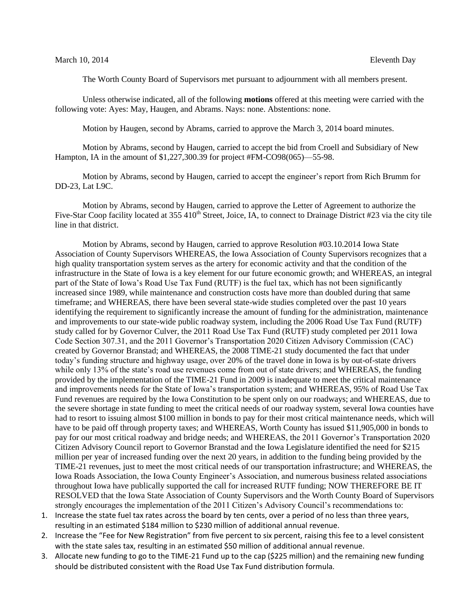The Worth County Board of Supervisors met pursuant to adjournment with all members present.

Unless otherwise indicated, all of the following **motions** offered at this meeting were carried with the following vote: Ayes: May, Haugen, and Abrams. Nays: none. Abstentions: none.

Motion by Haugen, second by Abrams, carried to approve the March 3, 2014 board minutes.

Motion by Abrams, second by Haugen, carried to accept the bid from Croell and Subsidiary of New Hampton, IA in the amount of \$1,227,300.39 for project #FM-CO98(065)—55-98.

Motion by Abrams, second by Haugen, carried to accept the engineer's report from Rich Brumm for DD-23, Lat L9C.

Motion by Abrams, second by Haugen, carried to approve the Letter of Agreement to authorize the Five-Star Coop facility located at 355 410<sup>th</sup> Street, Joice, IA, to connect to Drainage District #23 via the city tile line in that district.

Motion by Abrams, second by Haugen, carried to approve Resolution #03.10.2014 Iowa State Association of County Supervisors WHEREAS, the Iowa Association of County Supervisors recognizes that a high quality transportation system serves as the artery for economic activity and that the condition of the infrastructure in the State of Iowa is a key element for our future economic growth; and WHEREAS, an integral part of the State of Iowa's Road Use Tax Fund (RUTF) is the fuel tax, which has not been significantly increased since 1989, while maintenance and construction costs have more than doubled during that same timeframe; and WHEREAS, there have been several state-wide studies completed over the past 10 years identifying the requirement to significantly increase the amount of funding for the administration, maintenance and improvements to our state-wide public roadway system, including the 2006 Road Use Tax Fund (RUTF) study called for by Governor Culver, the 2011 Road Use Tax Fund (RUTF) study completed per 2011 Iowa Code Section 307.31, and the 2011 Governor's Transportation 2020 Citizen Advisory Commission (CAC) created by Governor Branstad; and WHEREAS, the 2008 TIME-21 study documented the fact that under today's funding structure and highway usage, over 20% of the travel done in Iowa is by out-of-state drivers while only 13% of the state's road use revenues come from out of state drivers; and WHEREAS, the funding provided by the implementation of the TIME-21 Fund in 2009 is inadequate to meet the critical maintenance and improvements needs for the State of Iowa's transportation system; and WHEREAS, 95% of Road Use Tax Fund revenues are required by the Iowa Constitution to be spent only on our roadways; and WHEREAS, due to the severe shortage in state funding to meet the critical needs of our roadway system, several Iowa counties have had to resort to issuing almost \$100 million in bonds to pay for their most critical maintenance needs, which will have to be paid off through property taxes; and WHEREAS, Worth County has issued \$11,905,000 in bonds to pay for our most critical roadway and bridge needs; and WHEREAS, the 2011 Governor's Transportation 2020 Citizen Advisory Council report to Governor Branstad and the Iowa Legislature identified the need for \$215 million per year of increased funding over the next 20 years, in addition to the funding being provided by the TIME-21 revenues, just to meet the most critical needs of our transportation infrastructure; and WHEREAS, the Iowa Roads Association, the Iowa County Engineer's Association, and numerous business related associations throughout Iowa have publically supported the call for increased RUTF funding; NOW THEREFORE BE IT RESOLVED that the Iowa State Association of County Supervisors and the Worth County Board of Supervisors strongly encourages the implementation of the 2011 Citizen's Advisory Council's recommendations to:

- 1. Increase the state fuel tax rates across the board by ten cents, over a period of no less than three years, resulting in an estimated \$184 million to \$230 million of additional annual revenue.
- 2. Increase the "Fee for New Registration" from five percent to six percent, raising this fee to a level consistent with the state sales tax, resulting in an estimated \$50 million of additional annual revenue.
- 3. Allocate new funding to go to the TIME-21 Fund up to the cap (\$225 million) and the remaining new funding should be distributed consistent with the Road Use Tax Fund distribution formula.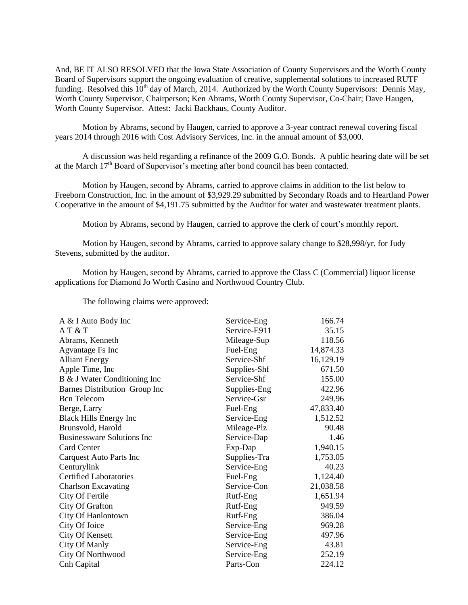And, BE IT ALSO RESOLVED that the Iowa State Association of County Supervisors and the Worth County Board of Supervisors support the ongoing evaluation of creative, supplemental solutions to increased RUTF funding. Resolved this  $10^{th}$  day of March, 2014. Authorized by the Worth County Supervisors: Dennis May, Worth County Supervisor, Chairperson; Ken Abrams, Worth County Supervisor, Co-Chair; Dave Haugen, Worth County Supervisor. Attest: Jacki Backhaus, County Auditor.

Motion by Abrams, second by Haugen, carried to approve a 3-year contract renewal covering fiscal years 2014 through 2016 with Cost Advisory Services, Inc. in the annual amount of \$3,000.

A discussion was held regarding a refinance of the 2009 G.O. Bonds. A public hearing date will be set at the March  $17<sup>th</sup>$  Board of Supervisor's meeting after bond council has been contacted.

Motion by Haugen, second by Abrams, carried to approve claims in addition to the list below to Freeborn Construction, Inc. in the amount of \$3,929.29 submitted by Secondary Roads and to Heartland Power Cooperative in the amount of \$4,191.75 submitted by the Auditor for water and wastewater treatment plants.

Motion by Abrams, second by Haugen, carried to approve the clerk of court's monthly report.

Motion by Haugen, second by Abrams, carried to approve salary change to \$28,998/yr. for Judy Stevens, submitted by the auditor.

Motion by Haugen, second by Abrams, carried to approve the Class C (Commercial) liquor license applications for Diamond Jo Worth Casino and Northwood Country Club.

The following claims were approved:

| A & I Auto Body Inc               | Service-Eng  | 166.74    |
|-----------------------------------|--------------|-----------|
| AT & T                            | Service-E911 | 35.15     |
| Abrams, Kenneth                   | Mileage-Sup  | 118.56    |
| Agvantage Fs Inc                  | Fuel-Eng     | 14,874.33 |
| <b>Alliant Energy</b>             | Service-Shf  | 16,129.19 |
| Apple Time, Inc                   | Supplies-Shf | 671.50    |
| B & J Water Conditioning Inc      | Service-Shf  | 155.00    |
| Barnes Distribution Group Inc     | Supplies-Eng | 422.96    |
| <b>Bcn</b> Telecom                | Service-Gsr  | 249.96    |
| Berge, Larry                      | Fuel-Eng     | 47,833.40 |
| <b>Black Hills Energy Inc</b>     | Service-Eng  | 1,512.52  |
| Brunsvold, Harold                 | Mileage-Plz  | 90.48     |
| <b>Businessware Solutions Inc</b> | Service-Dap  | 1.46      |
| <b>Card Center</b>                | Exp-Dap      | 1,940.15  |
| Carquest Auto Parts Inc           | Supplies-Tra | 1,753.05  |
| Centurylink                       | Service-Eng  | 40.23     |
| <b>Certified Laboratories</b>     | Fuel-Eng     | 1,124.40  |
| <b>Charlson Excavating</b>        | Service-Con  | 21,038.58 |
| City Of Fertile                   | Rutf-Eng     | 1,651.94  |
| City Of Grafton                   | Rutf-Eng     | 949.59    |
| City Of Hanlontown                | Rutf-Eng     | 386.04    |
| City Of Joice                     | Service-Eng  | 969.28    |
| City Of Kensett                   | Service-Eng  | 497.96    |
| <b>City Of Manly</b>              | Service-Eng  | 43.81     |
| City Of Northwood                 | Service-Eng  | 252.19    |
| Cnh Capital                       | Parts-Con    | 224.12    |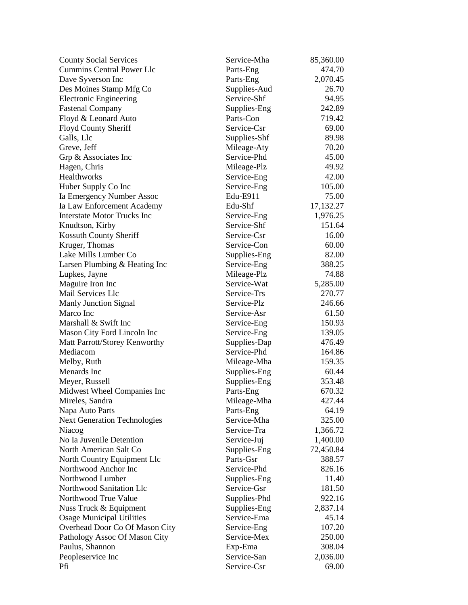| <b>County Social Services</b>       | Service-Mha              | 85,360.00 |
|-------------------------------------|--------------------------|-----------|
| <b>Cummins Central Power Llc</b>    | Parts-Eng                | 474.70    |
| Dave Syverson Inc                   | Parts-Eng                | 2,070.45  |
| Des Moines Stamp Mfg Co             | Supplies-Aud             | 26.70     |
| <b>Electronic Engineering</b>       | Service-Shf              | 94.95     |
| <b>Fastenal Company</b>             | Supplies-Eng             | 242.89    |
| Floyd & Leonard Auto                | Parts-Con                | 719.42    |
| Floyd County Sheriff                | Service-Csr              | 69.00     |
| Galls, Llc                          | Supplies-Shf             | 89.98     |
| Greve, Jeff                         | Mileage-Aty              | 70.20     |
| Grp & Associates Inc                | Service-Phd              | 45.00     |
| Hagen, Chris                        | Mileage-Plz              | 49.92     |
| Healthworks                         | Service-Eng              | 42.00     |
| Huber Supply Co Inc                 | Service-Eng              | 105.00    |
| Ia Emergency Number Assoc           | Edu-E911                 | 75.00     |
| Ia Law Enforcement Academy          | Edu-Shf                  | 17,132.27 |
| <b>Interstate Motor Trucks Inc</b>  | Service-Eng              | 1,976.25  |
| Knudtson, Kirby                     | Service-Shf              | 151.64    |
| Kossuth County Sheriff              | Service-Csr              | 16.00     |
| Kruger, Thomas                      | Service-Con              | 60.00     |
| Lake Mills Lumber Co                | Supplies-Eng             | 82.00     |
| Larsen Plumbing & Heating Inc       | Service-Eng              | 388.25    |
| Lupkes, Jayne                       | Mileage-Plz              | 74.88     |
| Maguire Iron Inc                    | Service-Wat              | 5,285.00  |
| Mail Services Llc                   | Service-Trs              | 270.77    |
| <b>Manly Junction Signal</b>        | Service-Plz              | 246.66    |
| Marco Inc                           | Service-Asr              | 61.50     |
| Marshall & Swift Inc                | Service-Eng              | 150.93    |
| Mason City Ford Lincoln Inc         | Service-Eng              | 139.05    |
| Matt Parrott/Storey Kenworthy       | Supplies-Dap             | 476.49    |
| Mediacom                            | Service-Phd              | 164.86    |
| Melby, Ruth                         | Mileage-Mha              | 159.35    |
| Menards Inc                         | Supplies-Eng             | 60.44     |
| Meyer, Russell                      | Supplies-Eng             | 353.48    |
| Midwest Wheel Companies Inc         | Parts-Eng                | 670.32    |
|                                     |                          | 427.44    |
| Mireles, Sandra                     | Mileage-Mha              | 64.19     |
| Napa Auto Parts                     | Parts-Eng<br>Service-Mha |           |
| <b>Next Generation Technologies</b> |                          | 325.00    |
| Niacog                              | Service-Tra              | 1,366.72  |
| No Ia Juvenile Detention            | Service-Juj              | 1,400.00  |
| North American Salt Co              | Supplies-Eng             | 72,450.84 |
| North Country Equipment Llc         | Parts-Gsr                | 388.57    |
| Northwood Anchor Inc                | Service-Phd              | 826.16    |
| Northwood Lumber                    | Supplies-Eng             | 11.40     |
| Northwood Sanitation Llc            | Service-Gsr              | 181.50    |
| Northwood True Value                | Supplies-Phd             | 922.16    |
| Nuss Truck & Equipment              | Supplies-Eng             | 2,837.14  |
| <b>Osage Municipal Utilities</b>    | Service-Ema              | 45.14     |
| Overhead Door Co Of Mason City      | Service-Eng              | 107.20    |
| Pathology Assoc Of Mason City       | Service-Mex              | 250.00    |
| Paulus, Shannon                     | Exp-Ema                  | 308.04    |
| Peopleservice Inc                   | Service-San              | 2,036.00  |
| Pfi                                 | Service-Csr              | 69.00     |